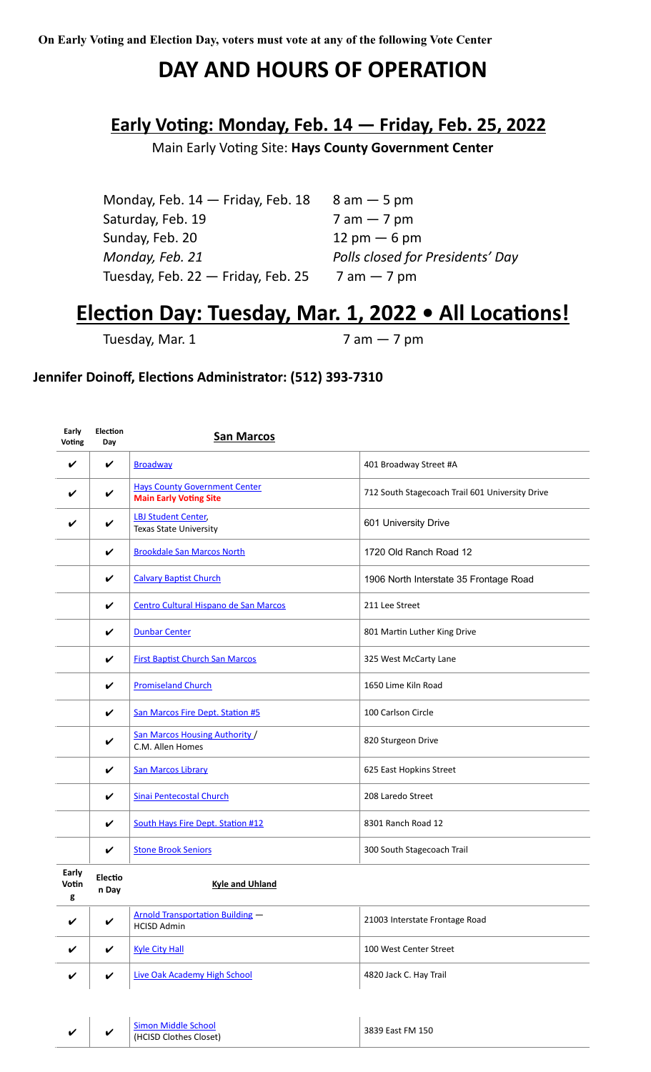## **DAY AND HOURS OF OPERATION**

## **Early Voting: Monday, Feb. 14 — Friday, Feb. 25, 2022**

Main Early Voting Site: **Hays County Government Center**

| Monday, Feb. 14 - Friday, Feb. 18  | $8$ am $-5$ pm                   |
|------------------------------------|----------------------------------|
| Saturday, Feb. 19                  | $7$ am $-7$ pm                   |
| Sunday, Feb. 20                    | $12 \text{ pm} - 6 \text{ pm}$   |
| Monday, Feb. 21                    | Polls closed for Presidents' Day |
| Tuesday, Feb. 22 - Friday, Feb. 25 | $7$ am $-7$ pm                   |

## **Election Day: Tuesday, Mar. 1, 2022 • All Locations!**

Tuesday, Mar.  $1$  7 am  $-$  7 pm

## **Jennifer Doinoff, Elections Administrator: (512) 393-7310**

| Early<br>Voting | Election<br>Day    | <b>San Marcos</b>                                                     |                                                 |
|-----------------|--------------------|-----------------------------------------------------------------------|-------------------------------------------------|
| V               | V                  | <b>Broadway</b>                                                       | 401 Broadway Street #A                          |
| ✓               | V                  | <b>Hays County Government Center</b><br><b>Main Early Voting Site</b> | 712 South Stagecoach Trail 601 University Drive |
|                 | ✓                  | <b>LBJ Student Center,</b><br><b>Texas State University</b>           | 601 University Drive                            |
|                 | $\checkmark$       | <b>Brookdale San Marcos North</b>                                     | 1720 Old Ranch Road 12                          |
|                 | V                  | <b>Calvary Baptist Church</b>                                         | 1906 North Interstate 35 Frontage Road          |
|                 | V                  | Centro Cultural Hispano de San Marcos                                 | 211 Lee Street                                  |
|                 | $\checkmark$       | <b>Dunbar Center</b>                                                  | 801 Martin Luther King Drive                    |
|                 | V                  | <b>First Baptist Church San Marcos</b>                                | 325 West McCarty Lane                           |
|                 | V                  | <b>Promiseland Church</b>                                             | 1650 Lime Kiln Road                             |
|                 | V                  | San Marcos Fire Dept. Station #5                                      | 100 Carlson Circle                              |
|                 | $\checkmark$       | San Marcos Housing Authority /<br>C.M. Allen Homes                    | 820 Sturgeon Drive                              |
|                 | V                  | <b>San Marcos Library</b>                                             | 625 East Hopkins Street                         |
|                 | V                  | Sinai Pentecostal Church                                              | 208 Laredo Street                               |
|                 | $\boldsymbol{\nu}$ | South Hays Fire Dept. Station #12                                     | 8301 Ranch Road 12                              |
|                 | V                  | <b>Stone Brook Seniors</b>                                            | 300 South Stagecoach Trail                      |
|                 |                    |                                                                       |                                                 |

| Early<br>Votin<br>g | Electio<br>n Day | Kyle and Uhland                                        |                                |
|---------------------|------------------|--------------------------------------------------------|--------------------------------|
| V                   | V                | Arnold Transportation Building -<br><b>HCISD Admin</b> | 21003 Interstate Frontage Road |
| V                   | ✓                | <b>Kyle City Hall</b>                                  | 100 West Center Street         |
| V                   | ✓                | Live Oak Academy High School                           | 4820 Jack C. Hay Trail         |

| ., | Simon Middle School    | 3839 East FM 150 |
|----|------------------------|------------------|
|    | (HCISD Clothes Closet) |                  |